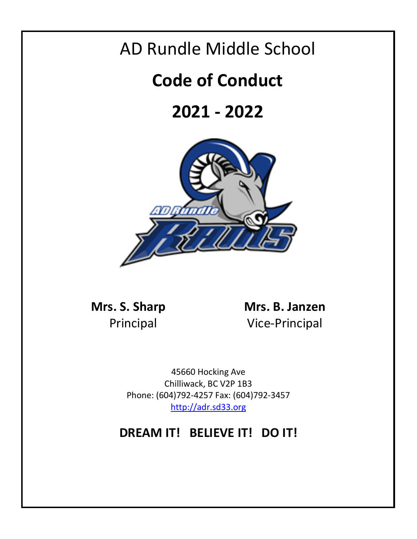## AD Rundle Middle School

# **Code of Conduct**

# **2021 - 2022**



**Mrs. S. Sharp Mrs. B. Janzen** Principal Vice-Principal

> 45660 Hocking Ave Chilliwack, BC V2P 1B3 Phone: (604)792-4257 Fax: (604)792-3457 [http://adr.sd33.org](http://adr.sd33.org/)

## **DREAM IT! BELIEVE IT! DO IT!**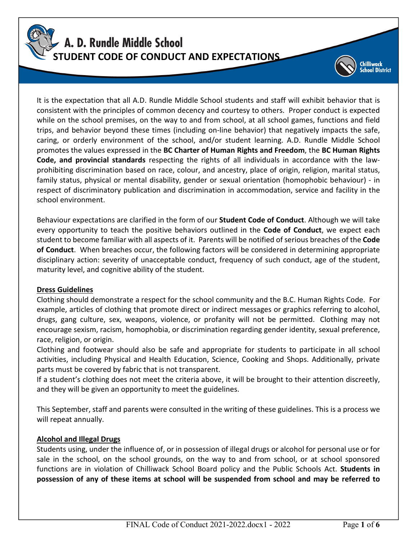

It is the expectation that all A.D. Rundle Middle School students and staff will exhibit behavior that is consistent with the principles of common decency and courtesy to others. Proper conduct is expected while on the school premises, on the way to and from school, at all school games, functions and field trips, and behavior beyond these times (including on-line behavior) that negatively impacts the safe, caring, or orderly environment of the school, and/or student learning. A.D. Rundle Middle School promotes the values expressed in the **BC Charter of Human Rights and Freedom**, the **BC Human Rights Code, and provincial standards** respecting the rights of all individuals in accordance with the lawprohibiting discrimination based on race, colour, and ancestry, place of origin, religion, marital status, family status, physical or mental disability, gender or sexual orientation (homophobic behaviour) - in respect of discriminatory publication and discrimination in accommodation, service and facility in the school environment.

Behaviour expectations are clarified in the form of our **Student Code of Conduct**. Although we will take every opportunity to teach the positive behaviors outlined in the **Code of Conduct**, we expect each student to become familiar with all aspects of it. Parents will be notified of serious breaches of the **Code of Conduct**. When breaches occur, the following factors will be considered in determining appropriate disciplinary action: severity of unacceptable conduct, frequency of such conduct, age of the student, maturity level, and cognitive ability of the student.

#### **Dress Guidelines**

Clothing should demonstrate a respect for the school community and the B.C. Human Rights Code. For example, articles of clothing that promote direct or indirect messages or graphics referring to alcohol, drugs, gang culture, sex, weapons, violence, or profanity will not be permitted. Clothing may not encourage sexism, racism, homophobia, or discrimination regarding gender identity, sexual preference, race, religion, or origin.

Clothing and footwear should also be safe and appropriate for students to participate in all school activities, including Physical and Health Education, Science, Cooking and Shops. Additionally, private parts must be covered by fabric that is not transparent.

If a student's clothing does not meet the criteria above, it will be brought to their attention discreetly, and they will be given an opportunity to meet the guidelines.

This September, staff and parents were consulted in the writing of these guidelines. This is a process we will repeat annually.

#### **Alcohol and Illegal Drugs**

Students using, under the influence of, or in possession of illegal drugs or alcohol for personal use or for sale in the school, on the school grounds, on the way to and from school, or at school sponsored functions are in violation of Chilliwack School Board policy and the Public Schools Act. **Students in possession of any of these items at school will be suspended from school and may be referred to** 

hilliwack<br>:hool District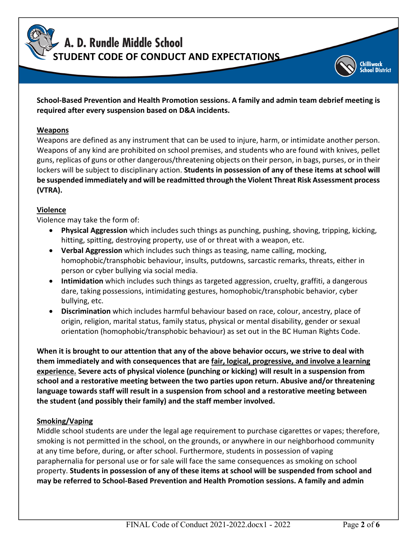A. D. Rundle Middle School

**STUDENT CODE OF CONDUCT AND EXPECTATIONS**

### **School-Based Prevention and Health Promotion sessions. A family and admin team debrief meeting is required after every suspension based on D&A incidents.**

#### **Weapons**

Weapons are defined as any instrument that can be used to injure, harm, or intimidate another person. Weapons of any kind are prohibited on school premises, and students who are found with knives, pellet guns, replicas of guns or other dangerous/threatening objects on their person, in bags, purses, or in their lockers will be subject to disciplinary action. **Students in possession of any of these items at school will be suspended immediately and will be readmitted through the Violent Threat Risk Assessment process (VTRA).**

### **Violence**

Violence may take the form of:

- **Physical Aggression** which includes such things as punching, pushing, shoving, tripping, kicking, hitting, spitting, destroying property, use of or threat with a weapon, etc.
- **Verbal Aggression** which includes such things as teasing, name calling, mocking, homophobic/transphobic behaviour, insults, putdowns, sarcastic remarks, threats, either in person or cyber bullying via social media.
- **Intimidation** which includes such things as targeted aggression, cruelty, graffiti, a dangerous dare, taking possessions, intimidating gestures, homophobic/transphobic behavior, cyber bullying, etc.
- **Discrimination** which includes harmful behaviour based on race, colour, ancestry, place of origin, religion, marital status, family status, physical or mental disability, gender or sexual orientation (homophobic/transphobic behaviour) as set out in the BC Human Rights Code.

**When it is brought to our attention that any of the above behavior occurs, we strive to deal with them immediately and with consequences that are fair, logical, progressive, and involve a learning experience. Severe acts of physical violence (punching or kicking) will result in a suspension from school and a restorative meeting between the two parties upon return. Abusive and/or threatening language towards staff will result in a suspension from school and a restorative meeting between the student (and possibly their family) and the staff member involved.**

#### **Smoking/Vaping**

Middle school students are under the legal age requirement to purchase cigarettes or vapes; therefore, smoking is not permitted in the school, on the grounds, or anywhere in our neighborhood community at any time before, during, or after school. Furthermore, students in possession of vaping paraphernalia for personal use or for sale will face the same consequences as smoking on school property. **Students in possession of any of these items at school will be suspended from school and may be referred to School-Based Prevention and Health Promotion sessions. A family and admin** 

hilliwack **ool District**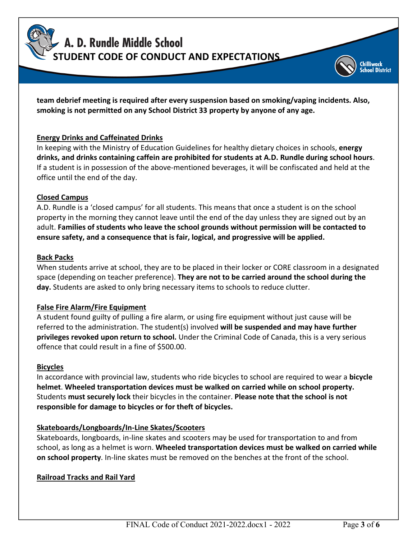A. D. Rundle Middle School **STUDENT CODE OF CONDUCT AND EXPECTATIONS**

**team debrief meeting is required after every suspension based on smoking/vaping incidents. Also, smoking is not permitted on any School District 33 property by anyone of any age.**

#### **Energy Drinks and Caffeinated Drinks**

In keeping with the Ministry of Education Guidelines for healthy dietary choices in schools, **energy drinks, and drinks containing caffein are prohibited for students at A.D. Rundle during school hours**. If a student is in possession of the above-mentioned beverages, it will be confiscated and held at the office until the end of the day.

#### **Closed Campus**

A.D. Rundle is a 'closed campus' for all students. This means that once a student is on the school property in the morning they cannot leave until the end of the day unless they are signed out by an adult. **Families of students who leave the school grounds without permission will be contacted to ensure safety, and a consequence that is fair, logical, and progressive will be applied.**

#### **Back Packs**

When students arrive at school, they are to be placed in their locker or CORE classroom in a designated space (depending on teacher preference). **They are not to be carried around the school during the day.** Students are asked to only bring necessary items to schools to reduce clutter.

#### **False Fire Alarm/Fire Equipment**

A student found guilty of pulling a fire alarm, or using fire equipment without just cause will be referred to the administration. The student(s) involved **will be suspended and may have further privileges revoked upon return to school.** Under the Criminal Code of Canada, this is a very serious offence that could result in a fine of \$500.00.

#### **Bicycles**

In accordance with provincial law, students who ride bicycles to school are required to wear a **bicycle helmet**. **Wheeled transportation devices must be walked on carried while on school property.** Students **must securely lock** their bicycles in the container. **Please note that the school is not responsible for damage to bicycles or for theft of bicycles.**

#### **Skateboards/Longboards/In-Line Skates/Scooters**

Skateboards, longboards, in-line skates and scooters may be used for transportation to and from school, as long as a helmet is worn. **Wheeled transportation devices must be walked on carried while on school property**. In-line skates must be removed on the benches at the front of the school.

#### **Railroad Tracks and Rail Yard**

illiwack ool District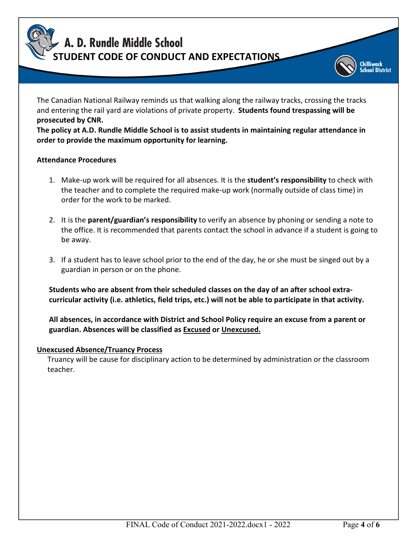A. D. Rundle Middle School **STUDENT CODE OF CONDUCT AND EXPECTATIONS**

The Canadian National Railway reminds us that walking along the railway tracks, crossing the tracks and entering the rail yard are violations of private property. **Students found trespassing will be prosecuted by CNR.**

**The policy at A.D. Rundle Middle School is to assist students in maintaining regular attendance in order to provide the maximum opportunity for learning.**

#### **Attendance Procedures**

- 1. Make-up work will be required for all absences. It is the **student's responsibility** to check with the teacher and to complete the required make-up work (normally outside of class time) in order for the work to be marked.
- 2. It is the **parent/guardian's responsibility** to verify an absence by phoning or sending a note to the office. It is recommended that parents contact the school in advance if a student is going to be away.
- 3. If a student has to leave school prior to the end of the day, he or she must be singed out by a guardian in person or on the phone.

**Students who are absent from their scheduled classes on the day of an after school extracurricular activity (i.e. athletics, field trips, etc.) will not be able to participate in that activity.**

**All absences, in accordance with District and School Policy require an excuse from a parent or guardian. Absences will be classified as Excused or Unexcused.**

#### **Unexcused Absence/Truancy Process**

Truancy will be cause for disciplinary action to be determined by administration or the classroom teacher.

illiwack ool District